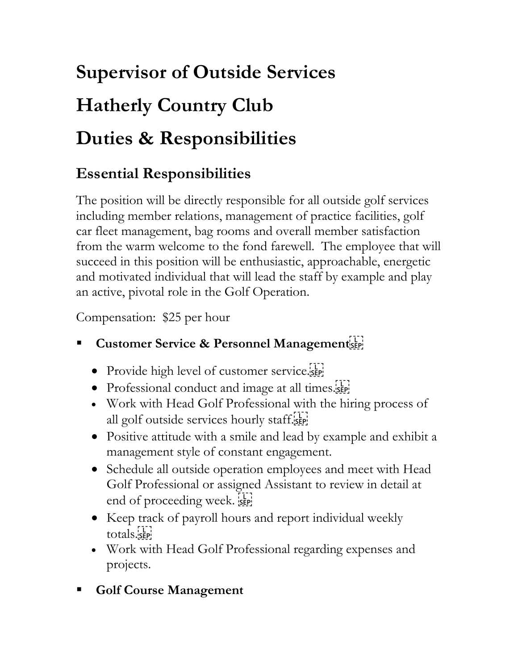# **Supervisor of Outside Services Hatherly Country Club Duties & Responsibilities**

### **Essential Responsibilities**

The position will be directly responsible for all outside golf services including member relations, management of practice facilities, golf car fleet management, bag rooms and overall member satisfaction from the warm welcome to the fond farewell. The employee that will succeed in this position will be enthusiastic, approachable, energetic and motivated individual that will lead the staff by example and play an active, pivotal role in the Golf Operation.

Compensation: \$25 per hour

- **Customer Service & Personnel Management** 
	- Provide high level of customer service.
	- Professional conduct and image at all times.
	- Work with Head Golf Professional with the hiring process of all golf outside services hourly staff.
	- Positive attitude with a smile and lead by example and exhibit a management style of constant engagement.
	- Schedule all outside operation employees and meet with Head Golf Professional or assigned Assistant to review in detail at end of proceeding week.
	- Keep track of payroll hours and report individual weekly totals.<sub>SEP</sub>
	- Work with Head Golf Professional regarding expenses and projects.
- **Golf Course Management**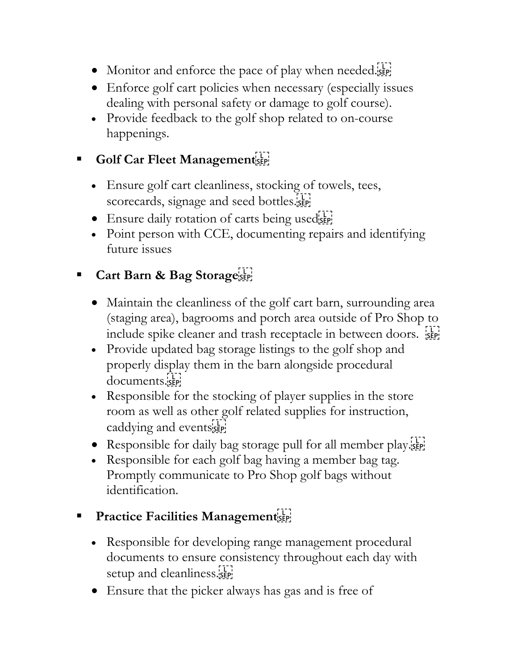- Monitor and enforce the pace of play when needed.
- Enforce golf cart policies when necessary (especially issues dealing with personal safety or damage to golf course).
- Provide feedback to the golf shop related to on-course happenings.

#### Golf Car Fleet Management<sup>[17]</sup>

- Ensure golf cart cleanliness, stocking of towels, tees, scorecards, signage and seed bottles.
- Ensure daily rotation of carts being usedsee
- Point person with CCE, documenting repairs and identifying future issues

#### Cart Barn & Bag Storage

- Maintain the cleanliness of the golf cart barn, surrounding area (staging area), bagrooms and porch area outside of Pro Shop to include spike cleaner and trash receptacle in between doors.  $\frac{1}{25}$
- Provide updated bag storage listings to the golf shop and properly display them in the barn alongside procedural documents.sep!
- Responsible for the stocking of player supplies in the store room as well as other golf related supplies for instruction, caddying and eventsister
- Responsible for daily bag storage pull for all member play.
- Responsible for each golf bag having a member bag tag. Promptly communicate to Pro Shop golf bags without identification.

#### **Practice Facilities Management**

- Responsible for developing range management procedural documents to ensure consistency throughout each day with setup and cleanliness.
- Ensure that the picker always has gas and is free of